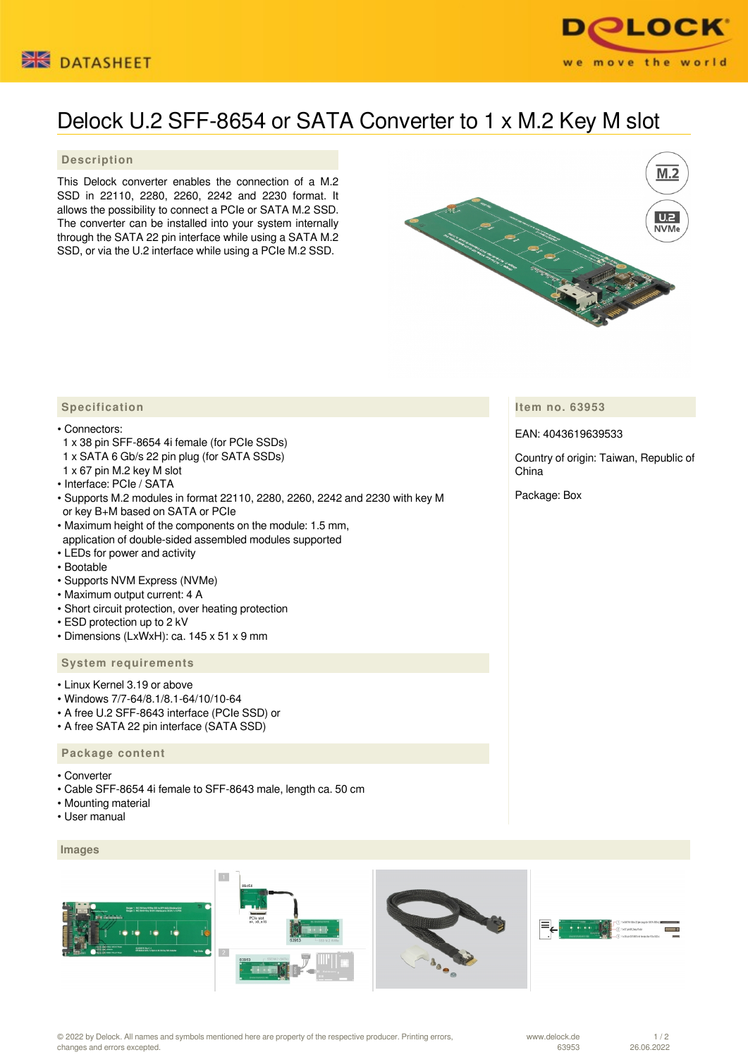



# Delock U.2 SFF-8654 or SATA Converter to 1 x M.2 Key M slot

# **Description**

This Delock converter enables the connection of a M.2 SSD in 22110, 2280, 2260, 2242 and 2230 format. It allows the possibility to connect a PCIe or SATA M.2 SSD. The converter can be installed into your system internally through the SATA 22 pin interface while using a SATA M.2 SSD, or via the U.2 interface while using a PCIe M.2 SSD.



# **Item no. 63953**

EAN: 4043619639533

Country of origin: Taiwan, Republic of China

Package: Box

# **Specification**

#### • Connectors:

- 1 x 38 pin SFF-8654 4i female (for PCIe SSDs)
- 1 x SATA 6 Gb/s 22 pin plug (for SATA SSDs)
- 1 x 67 pin M.2 key M slot
- Interface: PCIe / SATA
- Supports M.2 modules in format 22110, 2280, 2260, 2242 and 2230 with key M or key B+M based on SATA or PCIe
- Maximum height of the components on the module: 1.5 mm, application of double-sided assembled modules supported
- LEDs for power and activity
- Bootable
- Supports NVM Express (NVMe)
- Maximum output current: 4 A
- Short circuit protection, over heating protection
- ESD protection up to 2 kV
- Dimensions (LxWxH): ca. 145 x 51 x 9 mm

### **System requirements**

- Linux Kernel 3.19 or above
- Windows 7/7-64/8.1/8.1-64/10/10-64
- A free U.2 SFF-8643 interface (PCIe SSD) or
- A free SATA 22 pin interface (SATA SSD)

#### **Package content**

- Converter
- Cable SFF-8654 4i female to SFF-8643 male, length ca. 50 cm
- Mounting material
- User manual

#### **Images**